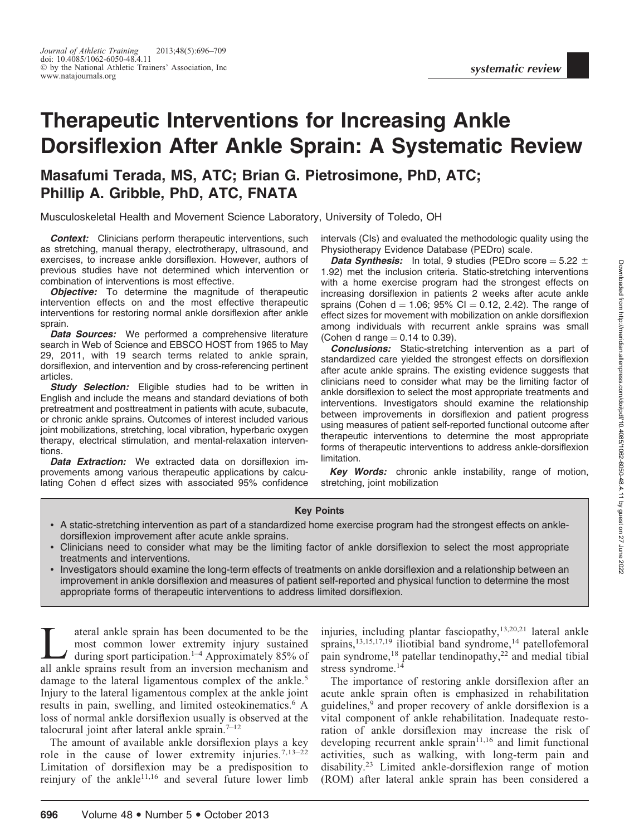# Therapeutic Interventions for Increasing Ankle Dorsiflexion After Ankle Sprain: A Systematic Review

# Masafumi Terada, MS, ATC; Brian G. Pietrosimone, PhD, ATC; Phillip A. Gribble, PhD, ATC, FNATA

Musculoskeletal Health and Movement Science Laboratory, University of Toledo, OH

**Context:** Clinicians perform therapeutic interventions, such as stretching, manual therapy, electrotherapy, ultrasound, and exercises, to increase ankle dorsiflexion. However, authors of previous studies have not determined which intervention or combination of interventions is most effective.

**Objective:** To determine the magnitude of therapeutic intervention effects on and the most effective therapeutic interventions for restoring normal ankle dorsiflexion after ankle sprain.

**Data Sources:** We performed a comprehensive literature search in Web of Science and EBSCO HOST from 1965 to May 29, 2011, with 19 search terms related to ankle sprain, dorsiflexion, and intervention and by cross-referencing pertinent articles.

**Study Selection:** Eligible studies had to be written in English and include the means and standard deviations of both pretreatment and posttreatment in patients with acute, subacute, or chronic ankle sprains. Outcomes of interest included various joint mobilizations, stretching, local vibration, hyperbaric oxygen therapy, electrical stimulation, and mental-relaxation interventions.

**Data Extraction:** We extracted data on dorsiflexion improvements among various therapeutic applications by calculating Cohen d effect sizes with associated 95% confidence intervals (CIs) and evaluated the methodologic quality using the Physiotherapy Evidence Database (PEDro) scale.

**Data Synthesis:** In total, 9 studies (PEDro score  $=$  5.22  $\pm$ 1.92) met the inclusion criteria. Static-stretching interventions with a home exercise program had the strongest effects on increasing dorsiflexion in patients 2 weeks after acute ankle sprains (Cohen d = 1.06; 95% CI = 0.12, 2.42). The range of effect sizes for movement with mobilization on ankle dorsiflexion among individuals with recurrent ankle sprains was small (Cohen d range  $= 0.14$  to 0.39).

**Conclusions:** Static-stretching intervention as a part of standardized care yielded the strongest effects on dorsiflexion after acute ankle sprains. The existing evidence suggests that clinicians need to consider what may be the limiting factor of ankle dorsiflexion to select the most appropriate treatments and interventions. Investigators should examine the relationship between improvements in dorsiflexion and patient progress using measures of patient self-reported functional outcome after therapeutic interventions to determine the most appropriate forms of therapeutic interventions to address ankle-dorsiflexion limitation.

Key Words: chronic ankle instability, range of motion, stretching, joint mobilization

#### Key Points

- A static-stretching intervention as part of a standardized home exercise program had the strongest effects on ankledorsiflexion improvement after acute ankle sprains.
- Clinicians need to consider what may be the limiting factor of ankle dorsiflexion to select the most appropriate treatments and interventions.
- Investigators should examine the long-term effects of treatments on ankle dorsiflexion and a relationship between an improvement in ankle dorsiflexion and measures of patient self-reported and physical function to determine the most appropriate forms of therapeutic interventions to address limited dorsiflexion.

**Lateral ankle sprain has been documented to be the**<br>
most common lower extremity injury sustained<br>
during sport participation.<sup>1–4</sup> Approximately 85% of<br>
all ankle sprains result from an inversion mechanism and most common lower extremity injury sustained all ankle sprains result from an inversion mechanism and damage to the lateral ligamentous complex of the ankle.<sup>5</sup> Injury to the lateral ligamentous complex at the ankle joint results in pain, swelling, and limited osteokinematics.<sup>6</sup> A loss of normal ankle dorsiflexion usually is observed at the talocrural joint after lateral ankle sprain. $7-12$ 

The amount of available ankle dorsiflexion plays a key role in the cause of lower extremity injuries.<sup>7,13–22</sup> Limitation of dorsiflexion may be a predisposition to reinjury of the ankle $11,16$  and several future lower limb injuries, including plantar fasciopathy, $13,20,21$  lateral ankle sprains, $13,15,17,19$  iliotibial band syndrome, $14$  patellofemoral pain syndrome,<sup>18</sup> patellar tendinopathy,<sup>22</sup> and medial tibial stress syndrome.<sup>14</sup>

The importance of restoring ankle dorsiflexion after an acute ankle sprain often is emphasized in rehabilitation guidelines,<sup>9</sup> and proper recovery of ankle dorsiflexion is a vital component of ankle rehabilitation. Inadequate restoration of ankle dorsiflexion may increase the risk of developing recurrent ankle sprain<sup>11,16</sup> and limit functional activities, such as walking, with long-term pain and disability.<sup>23</sup> Limited ankle-dorsiflexion range of motion (ROM) after lateral ankle sprain has been considered a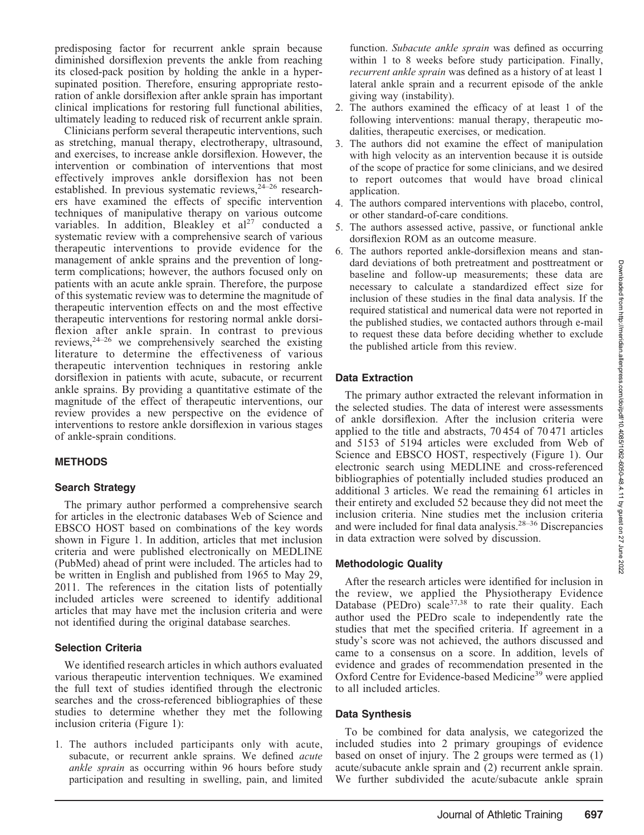predisposing factor for recurrent ankle sprain because diminished dorsiflexion prevents the ankle from reaching its closed-pack position by holding the ankle in a hypersupinated position. Therefore, ensuring appropriate restoration of ankle dorsiflexion after ankle sprain has important clinical implications for restoring full functional abilities, ultimately leading to reduced risk of recurrent ankle sprain.

Clinicians perform several therapeutic interventions, such as stretching, manual therapy, electrotherapy, ultrasound, and exercises, to increase ankle dorsiflexion. However, the intervention or combination of interventions that most effectively improves ankle dorsiflexion has not been established. In previous systematic reviews,  $24-26$  researchers have examined the effects of specific intervention techniques of manipulative therapy on various outcome variables. In addition, Bleakley et al<sup>27</sup> conducted a systematic review with a comprehensive search of various therapeutic interventions to provide evidence for the management of ankle sprains and the prevention of longterm complications; however, the authors focused only on patients with an acute ankle sprain. Therefore, the purpose of this systematic review was to determine the magnitude of therapeutic intervention effects on and the most effective therapeutic interventions for restoring normal ankle dorsiflexion after ankle sprain. In contrast to previous reviews,24–26 we comprehensively searched the existing literature to determine the effectiveness of various therapeutic intervention techniques in restoring ankle dorsiflexion in patients with acute, subacute, or recurrent ankle sprains. By providing a quantitative estimate of the magnitude of the effect of therapeutic interventions, our review provides a new perspective on the evidence of interventions to restore ankle dorsiflexion in various stages of ankle-sprain conditions.

# **METHODS**

# Search Strategy

The primary author performed a comprehensive search for articles in the electronic databases Web of Science and EBSCO HOST based on combinations of the key words shown in Figure 1. In addition, articles that met inclusion criteria and were published electronically on MEDLINE (PubMed) ahead of print were included. The articles had to be written in English and published from 1965 to May 29, 2011. The references in the citation lists of potentially included articles were screened to identify additional articles that may have met the inclusion criteria and were not identified during the original database searches.

#### Selection Criteria

We identified research articles in which authors evaluated various therapeutic intervention techniques. We examined the full text of studies identified through the electronic searches and the cross-referenced bibliographies of these studies to determine whether they met the following inclusion criteria (Figure 1):

1. The authors included participants only with acute, subacute, or recurrent ankle sprains. We defined *acute* ankle sprain as occurring within 96 hours before study participation and resulting in swelling, pain, and limited function. Subacute ankle sprain was defined as occurring within 1 to 8 weeks before study participation. Finally, recurrent ankle sprain was defined as a history of at least 1 lateral ankle sprain and a recurrent episode of the ankle giving way (instability).

- 2. The authors examined the efficacy of at least 1 of the following interventions: manual therapy, therapeutic modalities, therapeutic exercises, or medication.
- 3. The authors did not examine the effect of manipulation with high velocity as an intervention because it is outside of the scope of practice for some clinicians, and we desired to report outcomes that would have broad clinical application.
- 4. The authors compared interventions with placebo, control, or other standard-of-care conditions.
- 5. The authors assessed active, passive, or functional ankle dorsiflexion ROM as an outcome measure.
- 6. The authors reported ankle-dorsiflexion means and standard deviations of both pretreatment and posttreatment or baseline and follow-up measurements; these data are necessary to calculate a standardized effect size for inclusion of these studies in the final data analysis. If the required statistical and numerical data were not reported in the published studies, we contacted authors through e-mail to request these data before deciding whether to exclude the published article from this review.

# Data Extraction

The primary author extracted the relevant information in the selected studies. The data of interest were assessments of ankle dorsiflexion. After the inclusion criteria were applied to the title and abstracts, 70 454 of 70 471 articles and 5153 of 5194 articles were excluded from Web of Science and EBSCO HOST, respectively (Figure 1). Our electronic search using MEDLINE and cross-referenced bibliographies of potentially included studies produced an additional 3 articles. We read the remaining 61 articles in their entirety and excluded 52 because they did not meet the inclusion criteria. Nine studies met the inclusion criteria and were included for final data analysis.28–36 Discrepancies in data extraction were solved by discussion.

# Methodologic Quality

After the research articles were identified for inclusion in the review, we applied the Physiotherapy Evidence Database (PEDro) scale<sup>37,38</sup> to rate their quality. Each author used the PEDro scale to independently rate the studies that met the specified criteria. If agreement in a study's score was not achieved, the authors discussed and came to a consensus on a score. In addition, levels of evidence and grades of recommendation presented in the Oxford Centre for Evidence-based Medicine<sup>39</sup> were applied to all included articles.

# Data Synthesis

To be combined for data analysis, we categorized the included studies into 2 primary groupings of evidence based on onset of injury. The 2 groups were termed as (1) acute/subacute ankle sprain and (2) recurrent ankle sprain. We further subdivided the acute/subacute ankle sprain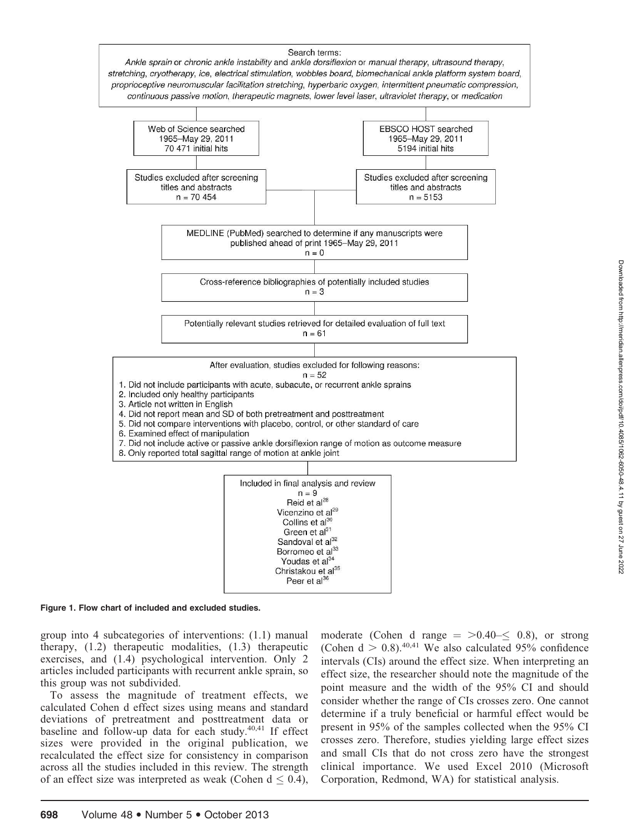

Youdas et al<sup>34</sup> Christakou et al<sup>35</sup> Peer et al<sup>36</sup>

Figure 1. Flow chart of included and excluded studies.

group into 4 subcategories of interventions: (1.1) manual therapy, (1.2) therapeutic modalities, (1.3) therapeutic exercises, and (1.4) psychological intervention. Only 2 articles included participants with recurrent ankle sprain, so this group was not subdivided.

To assess the magnitude of treatment effects, we calculated Cohen d effect sizes using means and standard deviations of pretreatment and posttreatment data or baseline and follow-up data for each study. $40,41$  If effect sizes were provided in the original publication, we recalculated the effect size for consistency in comparison across all the studies included in this review. The strength of an effect size was interpreted as weak (Cohen  $d \le 0.4$ ), moderate (Cohen d range  $=$  >0.40– $\leq$  0.8), or strong (Cohen d  $> 0.8$ ).<sup>40,41</sup> We also calculated 95% confidence intervals (CIs) around the effect size. When interpreting an effect size, the researcher should note the magnitude of the point measure and the width of the 95% CI and should consider whether the range of CIs crosses zero. One cannot determine if a truly beneficial or harmful effect would be present in 95% of the samples collected when the 95% CI crosses zero. Therefore, studies yielding large effect sizes and small CIs that do not cross zero have the strongest clinical importance. We used Excel 2010 (Microsoft Corporation, Redmond, WA) for statistical analysis.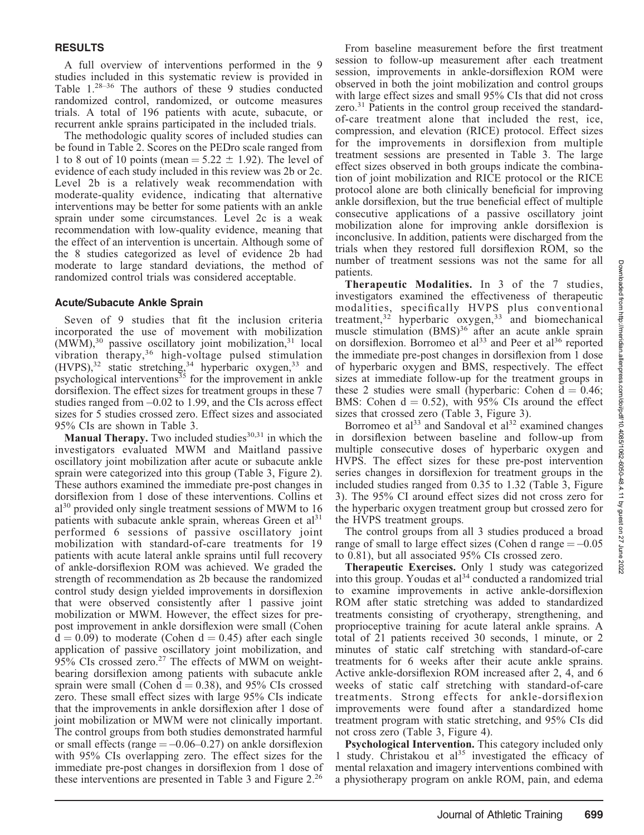# RESULTS

A full overview of interventions performed in the 9 studies included in this systematic review is provided in Table 1.28–36 The authors of these 9 studies conducted randomized control, randomized, or outcome measures trials. A total of 196 patients with acute, subacute, or recurrent ankle sprains participated in the included trials.

The methodologic quality scores of included studies can be found in Table 2. Scores on the PEDro scale ranged from 1 to 8 out of 10 points (mean  $= 5.22 \pm 1.92$ ). The level of evidence of each study included in this review was 2b or 2c. Level 2b is a relatively weak recommendation with moderate-quality evidence, indicating that alternative interventions may be better for some patients with an ankle sprain under some circumstances. Level 2c is a weak recommendation with low-quality evidence, meaning that the effect of an intervention is uncertain. Although some of the 8 studies categorized as level of evidence 2b had moderate to large standard deviations, the method of randomized control trials was considered acceptable.

# Acute/Subacute Ankle Sprain

Seven of 9 studies that fit the inclusion criteria incorporated the use of movement with mobilization  $(MWM)$ ,<sup>30</sup> passive oscillatory joint mobilization,<sup>31</sup> local vibration therapy,<sup>36</sup> high-voltage pulsed stimulation (HVPS),<sup>32</sup> static stretching,<sup>34</sup> hyperbaric oxygen,<sup>33</sup> and psychological interventions $35$  for the improvement in ankle dorsiflexion. The effect sizes for treatment groups in these 7 studies ranged from  $-0.02$  to 1.99, and the CIs across effect sizes for 5 studies crossed zero. Effect sizes and associated 95% CIs are shown in Table 3.

**Manual Therapy.** Two included studies $30,31$  in which the investigators evaluated MWM and Maitland passive oscillatory joint mobilization after acute or subacute ankle sprain were categorized into this group (Table 3, Figure 2). These authors examined the immediate pre-post changes in dorsiflexion from 1 dose of these interventions. Collins et al<sup>30</sup> provided only single treatment sessions of MWM to 16 patients with subacute ankle sprain, whereas Green et  $al<sup>31</sup>$ performed 6 sessions of passive oscillatory joint mobilization with standard-of-care treatments for 19 patients with acute lateral ankle sprains until full recovery of ankle-dorsiflexion ROM was achieved. We graded the strength of recommendation as 2b because the randomized control study design yielded improvements in dorsiflexion that were observed consistently after 1 passive joint mobilization or MWM. However, the effect sizes for prepost improvement in ankle dorsiflexion were small (Cohen  $d = 0.09$ ) to moderate (Cohen  $d = 0.45$ ) after each single application of passive oscillatory joint mobilization, and  $95\%$  CIs crossed zero.<sup>27</sup> The effects of MWM on weightbearing dorsiflexion among patients with subacute ankle sprain were small (Cohen  $d = 0.38$ ), and 95% CIs crossed zero. These small effect sizes with large 95% CIs indicate that the improvements in ankle dorsiflexion after 1 dose of joint mobilization or MWM were not clinically important. The control groups from both studies demonstrated harmful or small effects (range  $=$  -0.06–0.27) on ankle dorsiflexion with 95% CIs overlapping zero. The effect sizes for the immediate pre-post changes in dorsiflexion from 1 dose of these interventions are presented in Table 3 and Figure 2.26

From baseline measurement before the first treatment session to follow-up measurement after each treatment session, improvements in ankle-dorsiflexion ROM were observed in both the joint mobilization and control groups with large effect sizes and small 95% CIs that did not cross zero.<sup>31</sup> Patients in the control group received the standardof-care treatment alone that included the rest, ice, compression, and elevation (RICE) protocol. Effect sizes for the improvements in dorsiflexion from multiple treatment sessions are presented in Table 3. The large effect sizes observed in both groups indicate the combination of joint mobilization and RICE protocol or the RICE protocol alone are both clinically beneficial for improving ankle dorsiflexion, but the true beneficial effect of multiple consecutive applications of a passive oscillatory joint mobilization alone for improving ankle dorsiflexion is inconclusive. In addition, patients were discharged from the trials when they restored full dorsiflexion ROM, so the number of treatment sessions was not the same for all patients.

Therapeutic Modalities. In 3 of the 7 studies, investigators examined the effectiveness of therapeutic modalities, specifically HVPS plus conventional treatment, $32$  hyperbaric oxygen, $33$  and biomechanical muscle stimulation  $(BMS)^{36}$  after an acute ankle sprain on dorsiflexion. Borromeo et al $33$  and Peer et al $36$  reported the immediate pre-post changes in dorsiflexion from 1 dose of hyperbaric oxygen and BMS, respectively. The effect sizes at immediate follow-up for the treatment groups in these 2 studies were small (hyperbaric: Cohen  $d = 0.46$ ; BMS: Cohen  $d = 0.52$ ), with 95% CIs around the effect sizes that crossed zero (Table 3, Figure 3).

Borromeo et al<sup>33</sup> and Sandoval et al<sup>32</sup> examined changes in dorsiflexion between baseline and follow-up from multiple consecutive doses of hyperbaric oxygen and HVPS. The effect sizes for these pre-post intervention series changes in dorsiflexion for treatment groups in the included studies ranged from 0.35 to 1.32 (Table 3, Figure 3). The 95% CI around effect sizes did not cross zero for the hyperbaric oxygen treatment group but crossed zero for the HVPS treatment groups.

The control groups from all 3 studies produced a broad range of small to large effect sizes (Cohen d range  $=$  -0.05 to 0.81), but all associated 95% CIs crossed zero.

Therapeutic Exercises. Only 1 study was categorized into this group. Youdas et al<sup>34</sup> conducted a randomized trial to examine improvements in active ankle-dorsiflexion ROM after static stretching was added to standardized treatments consisting of cryotherapy, strengthening, and proprioceptive training for acute lateral ankle sprains. A total of 21 patients received 30 seconds, 1 minute, or 2 minutes of static calf stretching with standard-of-care treatments for 6 weeks after their acute ankle sprains. Active ankle-dorsiflexion ROM increased after 2, 4, and 6 weeks of static calf stretching with standard-of-care treatments. Strong effects for ankle-dorsiflexion improvements were found after a standardized home treatment program with static stretching, and 95% CIs did not cross zero (Table 3, Figure 4).

Psychological Intervention. This category included only 1 study. Christakou et  $al^{35}$  investigated the efficacy of mental relaxation and imagery interventions combined with a physiotherapy program on ankle ROM, pain, and edema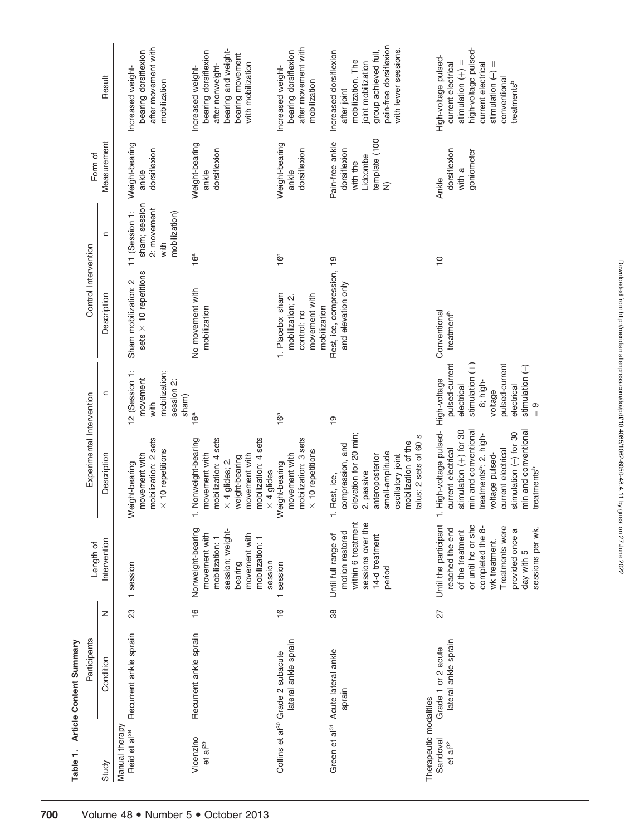Table 1. Article Content Summary Table 1. Article Content Summary

|                           | Result       | after movement with<br>bearing dorsiflexion<br>Increased weight-<br>mobilization   | bearing and weight-<br>bearing dorsiflexion<br>bearing movement<br>with mobilization<br>after nonweight-<br>Increased weight-                                          | after movement with<br>bearing dorsiflexion<br>Increased weight-<br>mobilization     | pain-free dorsiflexion<br>with fewer sessions.<br>group achieved full,<br>Increased dorsiflexion<br>mobilization. The<br>joint mobilization<br>after joint                          | high-voltage pulsed-<br>High-voltage pulsed-<br>current electrical<br>current electrical<br>stimulation $(+)$<br>stimulation (-)<br>conventional<br>treatments <sup>b</sup>                                                                                                  |
|---------------------------|--------------|------------------------------------------------------------------------------------|------------------------------------------------------------------------------------------------------------------------------------------------------------------------|--------------------------------------------------------------------------------------|-------------------------------------------------------------------------------------------------------------------------------------------------------------------------------------|------------------------------------------------------------------------------------------------------------------------------------------------------------------------------------------------------------------------------------------------------------------------------|
| Form of                   | Measurement  | Weight-bearing<br>dorsiflexion<br>ankle                                            | Weight-bearing<br>dorsiflexion<br>ankle                                                                                                                                | Weight-bearing<br>dorsiflexion<br>ankle                                              | template (100<br>Pain-free ankle<br>dorsiflexion<br>Lidcombe<br>with the<br>z                                                                                                       | dorsiflexion<br>goniometer<br>with a<br>Ankle                                                                                                                                                                                                                                |
|                           | $\mathbf{C}$ | sham; session<br>2: movement<br>11 (Session 1:<br>mobilization)<br>with            | 16 <sup>a</sup>                                                                                                                                                        | 16 <sup>a</sup>                                                                      |                                                                                                                                                                                     | $\frac{1}{2}$                                                                                                                                                                                                                                                                |
| Control Intervention      | Description  | sets $\times$ 10 repetitions<br>Sham mobilization: 2                               | No movement with<br>mobilization                                                                                                                                       | 1. Placebo: sham<br>movement with<br>mobilization; 2.<br>mobilization<br>control: no | Rest, ice, compression, 19<br>and elevation only                                                                                                                                    | Conventional<br>treatment <sup>b</sup>                                                                                                                                                                                                                                       |
|                           | $\mathbf{C}$ | 12 (Session 1:<br>mobilization;<br>movement<br>session 2:<br>sham)<br>with         | 16 <sup>a</sup>                                                                                                                                                        | 16a                                                                                  | $\overline{9}$                                                                                                                                                                      | pulsed-current<br>stimulation $(+)$<br>pulsed-current<br>stimulation $(-)$<br>$= 8$ ; high-<br>electrical<br>electrical<br>voltage<br>တ                                                                                                                                      |
| Experimental Intervention | Description  | mobilization: 2 sets<br>$\times$ 10 repetitions<br>movement with<br>Weight-bearing | mobilization: 4 sets<br>mobilization: 4 sets<br>1. Nonweight-bearing<br>movement with<br>movement with<br>weight-bearing<br>$\times$ 4 glides; 2.<br>$\times$ 4 glides | mobilization: 3 sets<br>$\times$ 10 repetitions<br>movement with<br>Weight-bearing   | elevation for 20 min;<br>talus: 2 sets of 60 s<br>mobilization of the<br>compression, and<br>small-amplitude<br>oscillatory joint<br>anteroposterior<br>2. passive<br>1. Rest, ice, | 1. High-voltage pulsed- High-voltage<br>stimulation $(+)$ for 30<br>min and conventional<br>min and conventional<br>stimulation $(-)$ for 30<br>treatments <sup>b</sup> ; 2. high-<br>current electrical<br>current electrical<br>voltage pulsed-<br>treatments <sup>b</sup> |
| Length of                 | Intervention | 1 session                                                                          | Nonweight-bearing<br>session; weight-<br>movement with<br>movement with<br>mobilization: 1<br>mobilization: 1<br>bearing<br>session                                    | 1 session                                                                            | within 6 treatment<br>sessions over the<br>motion restored<br>Until full range of<br>14-d treatment<br>period                                                                       | or until he or she<br>Until the participant<br>completed the 8-<br>Treatments were<br>reached the end<br>sessions per wk.<br>of the treatment<br>provided once a<br>wk treatment.<br>day with 5                                                                              |
|                           | z            | 23                                                                                 | $\frac{6}{5}$                                                                                                                                                          | $\frac{6}{5}$                                                                        | 38                                                                                                                                                                                  | 27                                                                                                                                                                                                                                                                           |
| Participants              | Condition    | Recurrent ankle sprain                                                             | Recurrent ankle sprain                                                                                                                                                 | lateral ankle sprain<br>Collins et al <sup>30</sup> Grade 2 subacute                 | Green et al <sup>31</sup> Acute lateral ankle<br>sprain                                                                                                                             | lateral ankle sprain<br>Grade 1 or 2 acute                                                                                                                                                                                                                                   |
|                           | Study        | Manual therapy<br>Reid et al <sup>28</sup>                                         | Vicenzino<br>$et$ a <sup><math>29</math></sup>                                                                                                                         |                                                                                      |                                                                                                                                                                                     | Therapeutic modalities<br>Sandoval<br>$et$ a $ ^{32}$                                                                                                                                                                                                                        |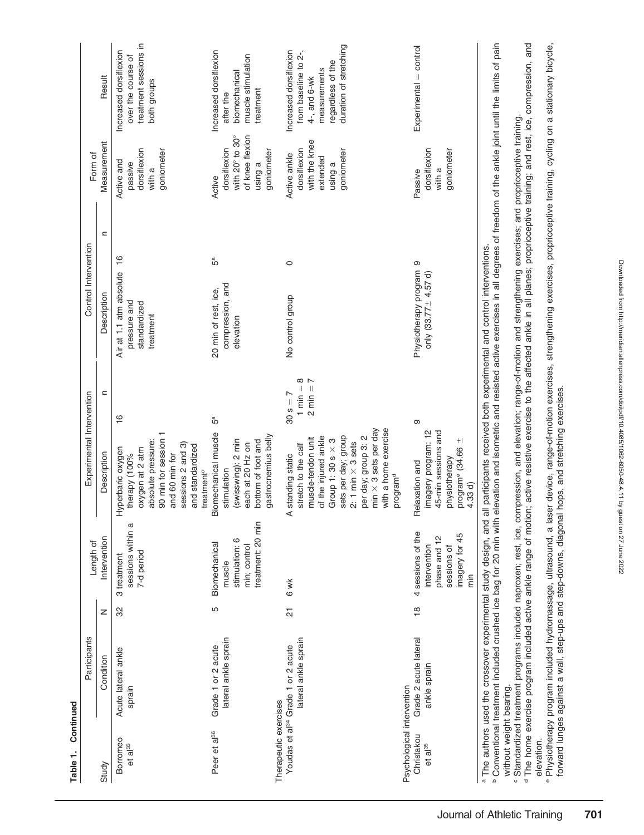| ř |
|---|
|   |
|   |

|                                                                 | Participants                                                                                                                                    |                          | Length of                                                                                                      | Experimental Intervention                                                                                                                                                                                                                                                    |                                              | Control Intervention                                                                                                                                                                                  |                          | Form of                                                                               |                                                                                                                               |
|-----------------------------------------------------------------|-------------------------------------------------------------------------------------------------------------------------------------------------|--------------------------|----------------------------------------------------------------------------------------------------------------|------------------------------------------------------------------------------------------------------------------------------------------------------------------------------------------------------------------------------------------------------------------------------|----------------------------------------------|-------------------------------------------------------------------------------------------------------------------------------------------------------------------------------------------------------|--------------------------|---------------------------------------------------------------------------------------|-------------------------------------------------------------------------------------------------------------------------------|
| Study                                                           | Condition                                                                                                                                       | z                        | Intervention                                                                                                   | Description                                                                                                                                                                                                                                                                  | $\overline{\phantom{0}}$                     | Description                                                                                                                                                                                           | $\overline{\phantom{a}}$ | Measurement                                                                           | Result                                                                                                                        |
| Borromeo<br>et al <sup>33</sup>                                 | Acute lateral ankle<br>sprain                                                                                                                   | 32                       | sessions within a<br>7-d period<br>3 treatment                                                                 | 90 min for session 1<br>absolute pressure:<br>sessions 2 and 3)<br>and standardized<br>oxygen at 2 atm<br>Hyperbaric oxygen<br>therapy (100%<br>and 60 min for<br>treatment <sup>c</sup>                                                                                     | $\frac{6}{5}$                                | $\frac{6}{5}$<br>Air at 1.1 atm absolute<br>pressure and<br>standardized<br>treatment                                                                                                                 |                          | dorsiflexion<br>goniometer<br>Active and<br>passive<br>with a                         | treatment sessions in<br>Increased dorsiflexion<br>over the course of<br>both groups                                          |
| Peer et al <sup>36</sup>                                        | lateral ankle sprain<br>Grade 1 or 2 acute                                                                                                      | 5                        | treatment: 20 min<br>stimulation: 6<br>Biomechanical<br>min; control<br>muscle                                 | Biomechanical muscle<br>gastrocnemius belly<br>(swisswing): 2 min<br>bottom of foot and<br>each at 20 Hz on<br>stimulation                                                                                                                                                   | ნ <sup>შ</sup>                               | ნი<br>ნ<br>compression, and<br>20 min of rest, ice,<br>elevation                                                                                                                                      |                          | with 20° to 30°<br>of knee flexion<br>dorsiflexion<br>goniometer<br>using a<br>Active | Increased dorsiflexion<br>muscle stimulation<br>biomechanical<br>treatment<br>after the                                       |
| Therapeutic exercises                                           | lateral ankle sprain<br>Youdas et al <sup>34</sup> Grade 1 or 2 acute                                                                           | $\overline{\mathcal{L}}$ | 6 wk                                                                                                           | with a home exercise<br>min $\times$ 3 sets per day<br>sets per day; group<br>per day; group 3: 2<br>of the injured ankle<br>muscle-tendon unit<br>Group 1: $30 s \times 3$<br>$2:1$ min $\times$ 3 sets<br>stretch to the calf<br>A standing static<br>program <sup>d</sup> | ∞<br>$2$ min $=$<br>$1$ min $=$<br>$7 = 508$ | $\circ$<br>No control group                                                                                                                                                                           |                          | with the knee<br>dorsiflexion<br>goniometer<br>Active ankle<br>extended<br>using a    | duration of stretching<br>Increased dorsiflexion<br>from baseline to 2-,<br>regardless of the<br>measurements<br>4-, and 6-wk |
| Psychological intervention<br>Christakou<br>et al <sup>35</sup> | Grade 2 acute lateral<br>ankle sprain                                                                                                           | $\frac{8}{1}$            | 4 sessions of the<br>imagery for 45<br>phase and 12<br>sessions of<br>intervention<br>$\frac{1}{\overline{E}}$ | imagery program: 12<br>45-min sessions and<br>$\pm$<br>program <sup>e</sup> (34.66<br>physiotherapy<br>Relaxation and<br>4.33 d)                                                                                                                                             | თ                                            | თ<br>Physiotherapy program<br>only $(33.77 \pm 4.57$ d)                                                                                                                                               |                          | dorsiflexion<br>goniometer<br>with a<br>Passive                                       | Experimental = control                                                                                                        |
| without weight bearing.                                         | a The authors used the crossover experimental study design, and<br><sup>b</sup> Conventional treatment included crushed ice bag for 20 min with |                          |                                                                                                                |                                                                                                                                                                                                                                                                              |                                              | elevation and isometric and resisted active exercises in all degrees of freedom of the ankle joint until the limits of pain<br>all participants received both experimental and control interventions. |                          |                                                                                       |                                                                                                                               |

 Standardized treatment programs included naproxen; rest, ice, compression, and elevation; range-of-motion and strengthening exercises; and proprioceptive training. <sup>a</sup> The home exercise program included active ankle range of motion; active exercise to the affected ankle in all planes; proprioceptive training; and rest, ice, compression, and

e Physiotherapy program included hydromassage, ultrasound, a laser device, range-of-motion exercises, strengthening exercises, proprioceptive training, cycling on a stationary bicycle, Physiotherapy program included hydromassage, ultrasound, a laser device, range-of-motion exercises, strengthening exercises, proprioceptive training, cycling on a stationary bicycle, forward lunges against a wall, step-ups and step-downs, diagonal hops, and stretching exercises. forward lunges against a wall, step-ups and step-downs, diagonal hops, and stretching exercises. elevation. elevation.

Downloaded from http://meridian.allenpress.com/doi/pdf/10.4085/1062-6050-48.4.11 by guest on 27 June 2022 Downloaded from http://meridian.allenpress.com/doi/pdf/10.4085/1062-6050-48.4.11 by guest on 27 June 2022

o o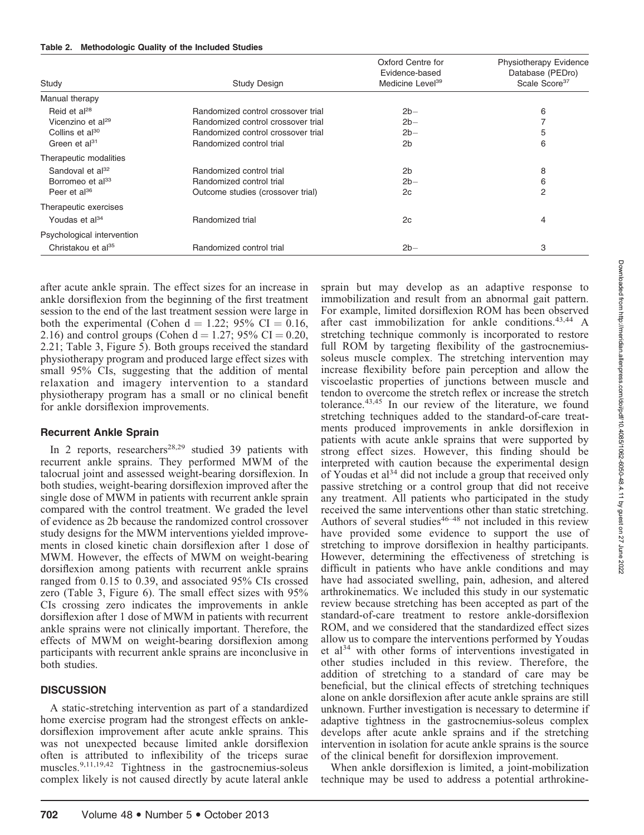#### Table 2. Methodologic Quality of the Included Studies

| Study                          | <b>Study Design</b>                | Oxford Centre for<br>Evidence-based<br>Medicine Level <sup>39</sup> | <b>Physiotherapy Evidence</b><br>Database (PEDro)<br>Scale Score <sup>37</sup> |
|--------------------------------|------------------------------------|---------------------------------------------------------------------|--------------------------------------------------------------------------------|
| Manual therapy                 |                                    |                                                                     |                                                                                |
| Reid et $al^{28}$              | Randomized control crossover trial | $2b-$                                                               | 6                                                                              |
| Vicenzino et al <sup>29</sup>  | Randomized control crossover trial | $2b-$                                                               | 7                                                                              |
| Collins et al <sup>30</sup>    | Randomized control crossover trial | $2b-$                                                               | 5                                                                              |
| Green et al <sup>31</sup>      | Randomized control trial           | 2 <sub>b</sub>                                                      | 6                                                                              |
| Therapeutic modalities         |                                    |                                                                     |                                                                                |
| Sandoval et al <sup>32</sup>   | Randomized control trial           | 2 <sub>b</sub>                                                      | 8                                                                              |
| Borromeo et al <sup>33</sup>   | Randomized control trial           | $2b-$                                                               | 6                                                                              |
| Peer et al <sup>36</sup>       | Outcome studies (crossover trial)  | 2c                                                                  | 2                                                                              |
| Therapeutic exercises          |                                    |                                                                     |                                                                                |
| Youdas et al <sup>34</sup>     | Randomized trial                   | 2c                                                                  | 4                                                                              |
| Psychological intervention     |                                    |                                                                     |                                                                                |
| Christakou et al <sup>35</sup> | Randomized control trial           | $2b-$                                                               | 3                                                                              |

after acute ankle sprain. The effect sizes for an increase in ankle dorsiflexion from the beginning of the first treatment session to the end of the last treatment session were large in both the experimental (Cohen  $d = 1.22$ ; 95% CI = 0.16, 2.16) and control groups (Cohen  $d = 1.27$ ; 95% CI  $= 0.20$ , 2.21; Table 3, Figure 5). Both groups received the standard physiotherapy program and produced large effect sizes with small 95% CIs, suggesting that the addition of mental relaxation and imagery intervention to a standard physiotherapy program has a small or no clinical benefit for ankle dorsiflexion improvements.

#### Recurrent Ankle Sprain

In 2 reports, researchers<sup>28,29</sup> studied 39 patients with recurrent ankle sprains. They performed MWM of the talocrual joint and assessed weight-bearing dorsiflexion. In both studies, weight-bearing dorsiflexion improved after the single dose of MWM in patients with recurrent ankle sprain compared with the control treatment. We graded the level of evidence as 2b because the randomized control crossover study designs for the MWM interventions yielded improvements in closed kinetic chain dorsiflexion after 1 dose of MWM. However, the effects of MWM on weight-bearing dorsiflexion among patients with recurrent ankle sprains ranged from 0.15 to 0.39, and associated 95% CIs crossed zero (Table 3, Figure 6). The small effect sizes with 95% CIs crossing zero indicates the improvements in ankle dorsiflexion after 1 dose of MWM in patients with recurrent ankle sprains were not clinically important. Therefore, the effects of MWM on weight-bearing dorsiflexion among participants with recurrent ankle sprains are inconclusive in both studies.

# **DISCUSSION**

A static-stretching intervention as part of a standardized home exercise program had the strongest effects on ankledorsiflexion improvement after acute ankle sprains. This was not unexpected because limited ankle dorsiflexion often is attributed to inflexibility of the triceps surae muscles.9,11,19,42 Tightness in the gastrocnemius-soleus complex likely is not caused directly by acute lateral ankle sprain but may develop as an adaptive response to immobilization and result from an abnormal gait pattern. For example, limited dorsiflexion ROM has been observed after cast immobilization for ankle conditions. $43,44$  A stretching technique commonly is incorporated to restore full ROM by targeting flexibility of the gastrocnemiussoleus muscle complex. The stretching intervention may increase flexibility before pain perception and allow the viscoelastic properties of junctions between muscle and tendon to overcome the stretch reflex or increase the stretch tolerance.43,45 In our review of the literature, we found stretching techniques added to the standard-of-care treatments produced improvements in ankle dorsiflexion in patients with acute ankle sprains that were supported by strong effect sizes. However, this finding should be interpreted with caution because the experimental design of Youdas et al<sup>34</sup> did not include a group that received only passive stretching or a control group that did not receive any treatment. All patients who participated in the study received the same interventions other than static stretching. Authors of several studies $46-48$  not included in this review have provided some evidence to support the use of stretching to improve dorsiflexion in healthy participants. However, determining the effectiveness of stretching is difficult in patients who have ankle conditions and may have had associated swelling, pain, adhesion, and altered arthrokinematics. We included this study in our systematic review because stretching has been accepted as part of the standard-of-care treatment to restore ankle-dorsiflexion ROM, and we considered that the standardized effect sizes allow us to compare the interventions performed by Youdas et  $al^{34}$  with other forms of interventions investigated in other studies included in this review. Therefore, the addition of stretching to a standard of care may be beneficial, but the clinical effects of stretching techniques alone on ankle dorsiflexion after acute ankle sprains are still unknown. Further investigation is necessary to determine if adaptive tightness in the gastrocnemius-soleus complex develops after acute ankle sprains and if the stretching intervention in isolation for acute ankle sprains is the source of the clinical benefit for dorsiflexion improvement.

When ankle dorsiflexion is limited, a joint-mobilization technique may be used to address a potential arthrokine-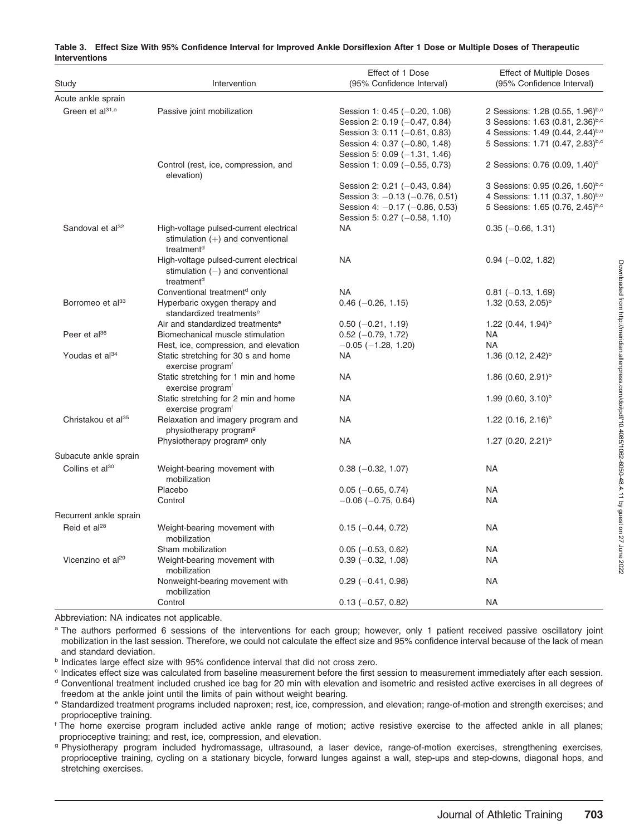| Study                                             | Intervention                                                                                                              | Effect of 1 Dose<br>(95% Confidence Interval)                                                                                                                     | <b>Effect of Multiple Doses</b><br>(95% Confidence Interval)                                                                                 |
|---------------------------------------------------|---------------------------------------------------------------------------------------------------------------------------|-------------------------------------------------------------------------------------------------------------------------------------------------------------------|----------------------------------------------------------------------------------------------------------------------------------------------|
|                                                   |                                                                                                                           |                                                                                                                                                                   |                                                                                                                                              |
| Acute ankle sprain<br>Green et al <sup>31,a</sup> | Passive joint mobilization                                                                                                | Session 1: 0.45 (-0.20, 1.08)<br>Session 2: 0.19 (-0.47, 0.84)<br>Session 3: 0.11 (-0.61, 0.83)<br>Session 4: 0.37 (-0.80, 1.48)<br>Session 5: 0.09 (-1.31, 1.46) | 2 Sessions: 1.28 (0.55, 1.96)b,c<br>3 Sessions: 1.63 (0.81, 2.36)b,c<br>4 Sessions: 1.49 (0.44, 2.44)b,c<br>5 Sessions: 1.71 (0.47, 2.83)b,c |
|                                                   | Control (rest, ice, compression, and<br>elevation)                                                                        | Session 1: 0.09 (-0.55, 0.73)                                                                                                                                     | 2 Sessions: 0.76 (0.09, 1.40) <sup>c</sup>                                                                                                   |
|                                                   |                                                                                                                           | Session 2: 0.21 (-0.43, 0.84)<br>Session 3: $-0.13$ ( $-0.76$ , 0.51)<br>Session 4: - 0.17 (-0.86, 0.53)<br>Session 5: 0.27 (-0.58, 1.10)                         | 3 Sessions: 0.95 (0.26, 1.60)b,c<br>4 Sessions: 1.11 (0.37, 1.80)b,c<br>5 Sessions: 1.65 (0.76, 2.45)b,c                                     |
| Sandoval et al <sup>32</sup>                      | High-voltage pulsed-current electrical<br>stimulation $(+)$ and conventional<br>treatment <sup>d</sup>                    | NA                                                                                                                                                                | $0.35$ ( $-0.66$ , 1.31)                                                                                                                     |
|                                                   | High-voltage pulsed-current electrical<br>stimulation $(-)$ and conventional<br>treatment <sup>d</sup>                    | <b>NA</b>                                                                                                                                                         | $0.94 (-0.02, 1.82)$                                                                                                                         |
| Borromeo et al <sup>33</sup>                      | Conventional treatment <sup>d</sup> only<br>Hyperbaric oxygen therapy and<br>standardized treatments <sup>e</sup>         | NA.<br>$0.46$ (-0.26, 1.15)                                                                                                                                       | $0.81$ (-0.13, 1.69)<br>1.32 $(0.53, 2.05)^{b}$                                                                                              |
| Peer et al <sup>36</sup>                          | Air and standardized treatments <sup>e</sup><br>Biomechanical muscle stimulation<br>Rest, ice, compression, and elevation | $0.50$ (-0.21, 1.19)<br>$0.52$ (-0.79, 1.72)<br>$-0.05$ ( $-1.28$ , 1.20)                                                                                         | 1.22 $(0.44, 1.94)^{b}$<br>NA.<br><b>NA</b>                                                                                                  |
| Youdas et al <sup>34</sup>                        | Static stretching for 30 s and home<br>exercise program <sup>f</sup>                                                      | NA.                                                                                                                                                               | 1.36 $(0.12, 2.42)^{b}$                                                                                                                      |
|                                                   | Static stretching for 1 min and home<br>exercise program <sup>f</sup><br>Static stretching for 2 min and home             | <b>NA</b><br><b>NA</b>                                                                                                                                            | 1.86 $(0.60, 2.91)^b$<br>$1.99$ (0.60, 3.10) <sup>b</sup>                                                                                    |
| Christakou et al <sup>35</sup>                    | exercise program <sup>f</sup>                                                                                             | <b>NA</b>                                                                                                                                                         |                                                                                                                                              |
|                                                   | Relaxation and imagery program and<br>physiotherapy program <sup>9</sup><br>Physiotherapy program <sup>9</sup> only       | <b>NA</b>                                                                                                                                                         | 1.22 $(0.16, 2.16)^{b}$<br>1.27 $(0.20, 2.21)^b$                                                                                             |
| Subacute ankle sprain                             |                                                                                                                           |                                                                                                                                                                   |                                                                                                                                              |
| Collins et al <sup>30</sup>                       | Weight-bearing movement with<br>mobilization                                                                              | $0.38$ (-0.32, 1.07)                                                                                                                                              | NA.                                                                                                                                          |
|                                                   | Placebo<br>Control                                                                                                        | $0.05$ (-0.65, 0.74)<br>$-0.06$ ( $-0.75$ , 0.64)                                                                                                                 | NA<br>NA                                                                                                                                     |
| Recurrent ankle sprain                            |                                                                                                                           |                                                                                                                                                                   |                                                                                                                                              |
| Reid et al <sup>28</sup>                          | Weight-bearing movement with<br>mobilization                                                                              | $0.15$ (-0.44, 0.72)                                                                                                                                              | <b>NA</b>                                                                                                                                    |
|                                                   | Sham mobilization                                                                                                         | $0.05$ (-0.53, 0.62)                                                                                                                                              | <b>NA</b>                                                                                                                                    |
| Vicenzino et al <sup>29</sup>                     | Weight-bearing movement with<br>mobilization                                                                              | $0.39$ (-0.32, 1.08)                                                                                                                                              | NA                                                                                                                                           |
|                                                   | Nonweight-bearing movement with<br>mobilization                                                                           | $0.29$ (-0.41, 0.98)                                                                                                                                              | NA                                                                                                                                           |
|                                                   | Control                                                                                                                   | $0.13$ (-0.57, 0.82)                                                                                                                                              | <b>NA</b>                                                                                                                                    |

#### Table 3. Effect Size With 95% Confidence Interval for Improved Ankle Dorsiflexion After 1 Dose or Multiple Doses of Therapeutic Interventions

Abbreviation: NA indicates not applicable.

a The authors performed 6 sessions of the interventions for each group; however, only 1 patient received passive oscillatory joint mobilization in the last session. Therefore, we could not calculate the effect size and 95% confidence interval because of the lack of mean and standard deviation.

**b** Indicates large effect size with 95% confidence interval that did not cross zero.

<sup>c</sup> Indicates effect size was calculated from baseline measurement before the first session to measurement immediately after each session. <sup>d</sup> Conventional treatment included crushed ice bag for 20 min with elevation and isometric and resisted active exercises in all degrees of freedom at the ankle joint until the limits of pain without weight bearing.

<sup>e</sup> Standardized treatment programs included naproxen; rest, ice, compression, and elevation; range-of-motion and strength exercises; and proprioceptive training.

<sup>f</sup> The home exercise program included active ankle range of motion; active resistive exercise to the affected ankle in all planes; proprioceptive training; and rest, ice, compression, and elevation.

<sup>g</sup> Physiotherapy program included hydromassage, ultrasound, a laser device, range-of-motion exercises, strengthening exercises, proprioceptive training, cycling on a stationary bicycle, forward lunges against a wall, step-ups and step-downs, diagonal hops, and stretching exercises.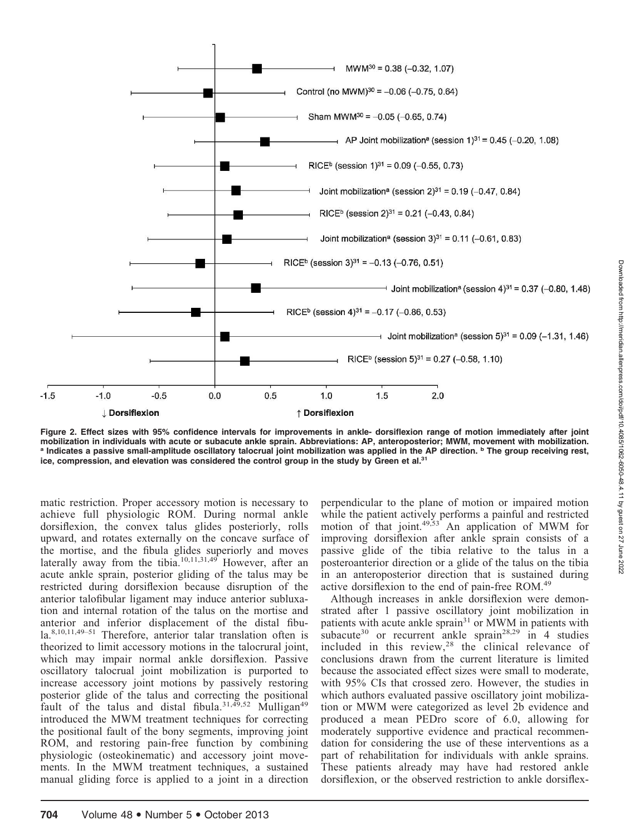

Figure 2. Effect sizes with 95% confidence intervals for improvements in ankle- dorsiflexion range of motion immediately after joint mobilization in individuals with acute or subacute ankle sprain. Abbreviations: AP, anteroposterior; MWM, movement with mobilization. <sup>a</sup> Indicates a passive small-amplitude oscillatory talocrual joint mobilization was applied in the AP direction. <sup>b</sup> The group receiving rest, ice, compression, and elevation was considered the control group in the study by Green et al.<sup>31</sup>

matic restriction. Proper accessory motion is necessary to achieve full physiologic ROM. During normal ankle dorsiflexion, the convex talus glides posteriorly, rolls upward, and rotates externally on the concave surface of the mortise, and the fibula glides superiorly and moves laterally away from the tibia.<sup>10,11,31,49</sup> However, after an acute ankle sprain, posterior gliding of the talus may be restricted during dorsiflexion because disruption of the anterior talofibular ligament may induce anterior subluxation and internal rotation of the talus on the mortise and anterior and inferior displacement of the distal fibula.8,10,11,49–51 Therefore, anterior talar translation often is theorized to limit accessory motions in the talocrural joint, which may impair normal ankle dorsiflexion. Passive oscillatory talocrual joint mobilization is purported to increase accessory joint motions by passively restoring posterior glide of the talus and correcting the positional fault of the talus and distal fibula.<sup>31,49,52</sup> Mulligan<sup>49</sup> introduced the MWM treatment techniques for correcting the positional fault of the bony segments, improving joint ROM, and restoring pain-free function by combining physiologic (osteokinematic) and accessory joint movements. In the MWM treatment techniques, a sustained manual gliding force is applied to a joint in a direction perpendicular to the plane of motion or impaired motion while the patient actively performs a painful and restricted motion of that joint. $49,53$  An application of MWM for improving dorsiflexion after ankle sprain consists of a passive glide of the tibia relative to the talus in a posteroanterior direction or a glide of the talus on the tibia in an anteroposterior direction that is sustained during active dorsiflexion to the end of pain-free ROM.<sup>49</sup>

Although increases in ankle dorsiflexion were demonstrated after 1 passive oscillatory joint mobilization in patients with acute ankle sprain<sup>31</sup> or MWM in patients with subacute<sup>30</sup> or recurrent ankle sprain<sup>28,29</sup> in 4 studies included in this review,  $28$  the clinical relevance of conclusions drawn from the current literature is limited because the associated effect sizes were small to moderate, with 95% CIs that crossed zero. However, the studies in which authors evaluated passive oscillatory joint mobilization or MWM were categorized as level 2b evidence and produced a mean PEDro score of 6.0, allowing for moderately supportive evidence and practical recommendation for considering the use of these interventions as a part of rehabilitation for individuals with ankle sprains. These patients already may have had restored ankle dorsiflexion, or the observed restriction to ankle dorsiflex-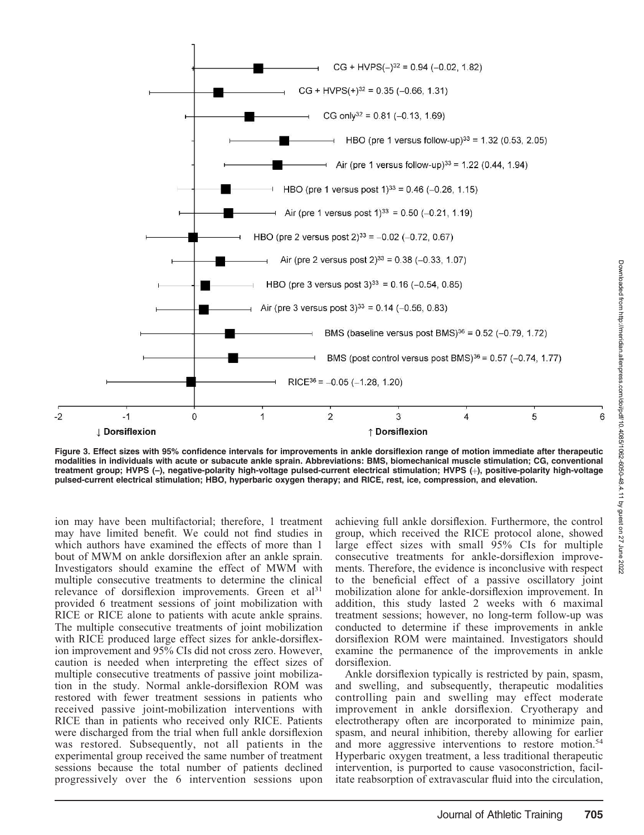

Figure 3. Effect sizes with 95% confidence intervals for improvements in ankle dorsiflexion range of motion immediate after therapeutic modalities in individuals with acute or subacute ankle sprain. Abbreviations: BMS, biomechanical muscle stimulation; CG, conventional treatment group; HVPS (-), negative-polarity high-voltage pulsed-current electrical stimulation; HVPS (+), positive-polarity high-voltage pulsed-current electrical stimulation; HBO, hyperbaric oxygen therapy; and RICE, rest, ice, compression, and elevation.

ion may have been multifactorial; therefore, 1 treatment may have limited benefit. We could not find studies in which authors have examined the effects of more than 1 bout of MWM on ankle dorsiflexion after an ankle sprain. Investigators should examine the effect of MWM with multiple consecutive treatments to determine the clinical relevance of dorsiflexion improvements. Green et  $al<sup>31</sup>$ provided 6 treatment sessions of joint mobilization with RICE or RICE alone to patients with acute ankle sprains. The multiple consecutive treatments of joint mobilization with RICE produced large effect sizes for ankle-dorsiflexion improvement and 95% CIs did not cross zero. However, caution is needed when interpreting the effect sizes of multiple consecutive treatments of passive joint mobilization in the study. Normal ankle-dorsiflexion ROM was restored with fewer treatment sessions in patients who received passive joint-mobilization interventions with RICE than in patients who received only RICE. Patients were discharged from the trial when full ankle dorsiflexion was restored. Subsequently, not all patients in the experimental group received the same number of treatment sessions because the total number of patients declined progressively over the 6 intervention sessions upon achieving full ankle dorsiflexion. Furthermore, the control group, which received the RICE protocol alone, showed large effect sizes with small 95% CIs for multiple consecutive treatments for ankle-dorsiflexion improvements. Therefore, the evidence is inconclusive with respect to the beneficial effect of a passive oscillatory joint mobilization alone for ankle-dorsiflexion improvement. In addition, this study lasted 2 weeks with 6 maximal treatment sessions; however, no long-term follow-up was conducted to determine if these improvements in ankle dorsiflexion ROM were maintained. Investigators should examine the permanence of the improvements in ankle dorsiflexion.

Ankle dorsiflexion typically is restricted by pain, spasm, and swelling, and subsequently, therapeutic modalities controlling pain and swelling may effect moderate improvement in ankle dorsiflexion. Cryotherapy and electrotherapy often are incorporated to minimize pain, spasm, and neural inhibition, thereby allowing for earlier and more aggressive interventions to restore motion.<sup>54</sup> Hyperbaric oxygen treatment, a less traditional therapeutic intervention, is purported to cause vasoconstriction, facilitate reabsorption of extravascular fluid into the circulation,

6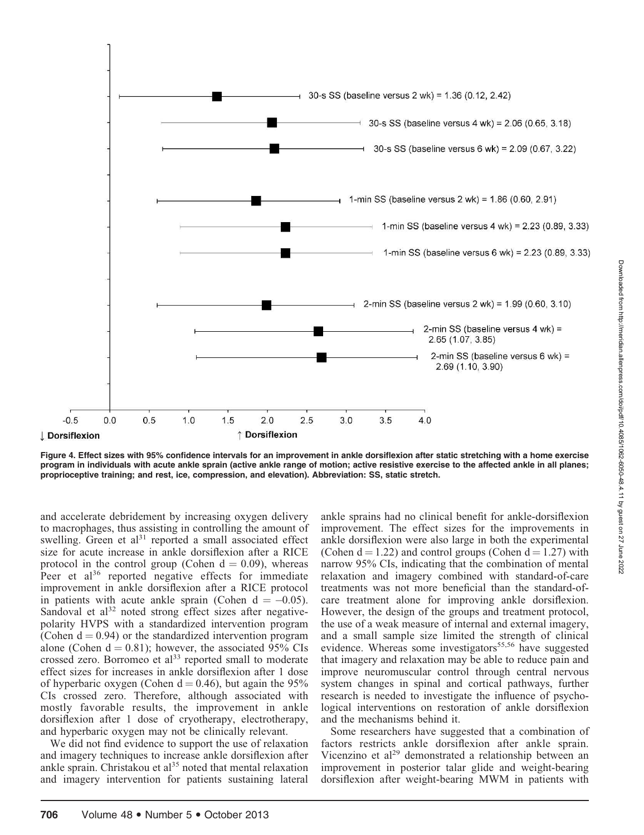

Figure 4. Effect sizes with 95% confidence intervals for an improvement in ankle dorsiflexion after static stretching with a home exercise program in individuals with acute ankle sprain (active ankle range of motion; active resistive exercise to the affected ankle in all planes; proprioceptive training; and rest, ice, compression, and elevation). Abbreviation: SS, static stretch.

and accelerate debridement by increasing oxygen delivery to macrophages, thus assisting in controlling the amount of swelling. Green et  $al<sup>31</sup>$  reported a small associated effect size for acute increase in ankle dorsiflexion after a RICE protocol in the control group (Cohen  $d = 0.09$ ), whereas Peer et al<sup>36</sup> reported negative effects for immediate improvement in ankle dorsiflexion after a RICE protocol in patients with acute ankle sprain (Cohen  $d = -0.05$ ). Sandoval et al<sup>32</sup> noted strong effect sizes after negativepolarity HVPS with a standardized intervention program (Cohen  $d = 0.94$ ) or the standardized intervention program alone (Cohen d = 0.81); however, the associated  $95\%$  CIs crossed zero. Borromeo et  $al<sup>33</sup>$  reported small to moderate effect sizes for increases in ankle dorsiflexion after 1 dose of hyperbaric oxygen (Cohen  $d = 0.46$ ), but again the 95% CIs crossed zero. Therefore, although associated with mostly favorable results, the improvement in ankle dorsiflexion after 1 dose of cryotherapy, electrotherapy, and hyperbaric oxygen may not be clinically relevant.

We did not find evidence to support the use of relaxation and imagery techniques to increase ankle dorsiflexion after ankle sprain. Christakou et al<sup>35</sup> noted that mental relaxation and imagery intervention for patients sustaining lateral

ankle sprains had no clinical benefit for ankle-dorsiflexion improvement. The effect sizes for the improvements in ankle dorsiflexion were also large in both the experimental (Cohen  $d = 1.22$ ) and control groups (Cohen  $d = 1.27$ ) with narrow 95% CIs, indicating that the combination of mental relaxation and imagery combined with standard-of-care treatments was not more beneficial than the standard-ofcare treatment alone for improving ankle dorsiflexion. However, the design of the groups and treatment protocol, the use of a weak measure of internal and external imagery, and a small sample size limited the strength of clinical evidence. Whereas some investigators<sup>55,56</sup> have suggested that imagery and relaxation may be able to reduce pain and improve neuromuscular control through central nervous system changes in spinal and cortical pathways, further research is needed to investigate the influence of psychological interventions on restoration of ankle dorsiflexion and the mechanisms behind it.

Some researchers have suggested that a combination of factors restricts ankle dorsiflexion after ankle sprain. Vicenzino et al<sup>29</sup> demonstrated a relationship between an improvement in posterior talar glide and weight-bearing dorsiflexion after weight-bearing MWM in patients with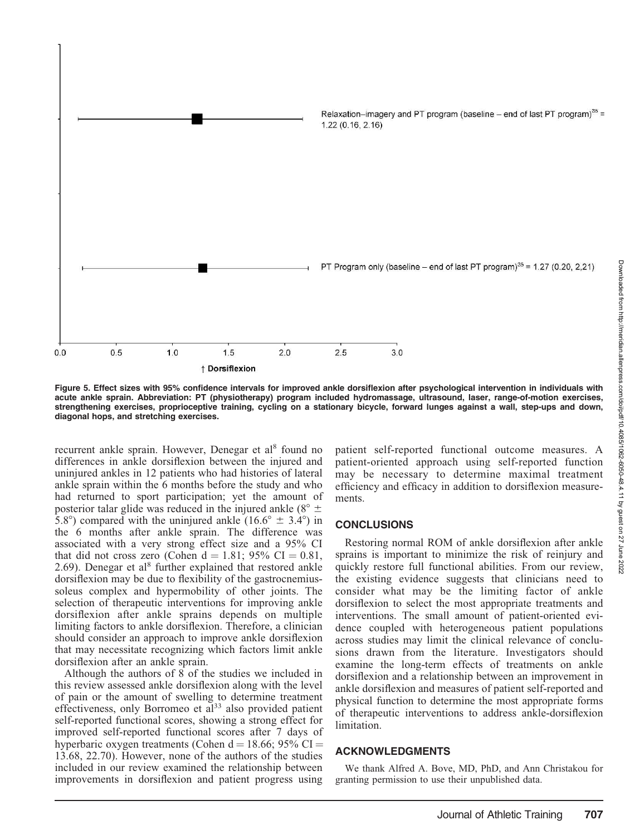

Figure 5. Effect sizes with 95% confidence intervals for improved ankle dorsiflexion after psychological intervention in individuals with acute ankle sprain. Abbreviation: PT (physiotherapy) program included hydromassage, ultrasound, laser, range-of-motion exercises, strengthening exercises, proprioceptive training, cycling on a stationary bicycle, forward lunges against a wall, step-ups and down, diagonal hops, and stretching exercises.

recurrent ankle sprain. However, Denegar et al<sup>8</sup> found no differences in ankle dorsiflexion between the injured and uninjured ankles in 12 patients who had histories of lateral ankle sprain within the 6 months before the study and who had returned to sport participation; yet the amount of posterior talar glide was reduced in the injured ankle ( $8^{\circ}$   $\pm$ 5.8°) compared with the uninjured ankle  $(16.6^{\circ} \pm 3.4^{\circ})$  in the 6 months after ankle sprain. The difference was associated with a very strong effect size and a 95% CI that did not cross zero (Cohen  $d = 1.81$ ; 95% CI = 0.81, 2.69). Denegar et al<sup>8</sup> further explained that restored ankle dorsiflexion may be due to flexibility of the gastrocnemiussoleus complex and hypermobility of other joints. The selection of therapeutic interventions for improving ankle dorsiflexion after ankle sprains depends on multiple limiting factors to ankle dorsiflexion. Therefore, a clinician should consider an approach to improve ankle dorsiflexion that may necessitate recognizing which factors limit ankle dorsiflexion after an ankle sprain.

Although the authors of 8 of the studies we included in this review assessed ankle dorsiflexion along with the level of pain or the amount of swelling to determine treatment effectiveness, only Borromeo et  $a^{33}$  also provided patient self-reported functional scores, showing a strong effect for improved self-reported functional scores after 7 days of hyperbaric oxygen treatments (Cohen  $d = 18.66$ ; 95% CI = 13.68, 22.70). However, none of the authors of the studies included in our review examined the relationship between improvements in dorsiflexion and patient progress using

patient self-reported functional outcome measures. A patient-oriented approach using self-reported function may be necessary to determine maximal treatment efficiency and efficacy in addition to dorsiflexion measurements.

#### **CONCLUSIONS**

Restoring normal ROM of ankle dorsiflexion after ankle sprains is important to minimize the risk of reinjury and quickly restore full functional abilities. From our review, the existing evidence suggests that clinicians need to consider what may be the limiting factor of ankle dorsiflexion to select the most appropriate treatments and interventions. The small amount of patient-oriented evidence coupled with heterogeneous patient populations across studies may limit the clinical relevance of conclusions drawn from the literature. Investigators should examine the long-term effects of treatments on ankle dorsiflexion and a relationship between an improvement in ankle dorsiflexion and measures of patient self-reported and physical function to determine the most appropriate forms of therapeutic interventions to address ankle-dorsiflexion limitation.

#### ACKNOWLEDGMENTS

We thank Alfred A. Bove, MD, PhD, and Ann Christakou for granting permission to use their unpublished data.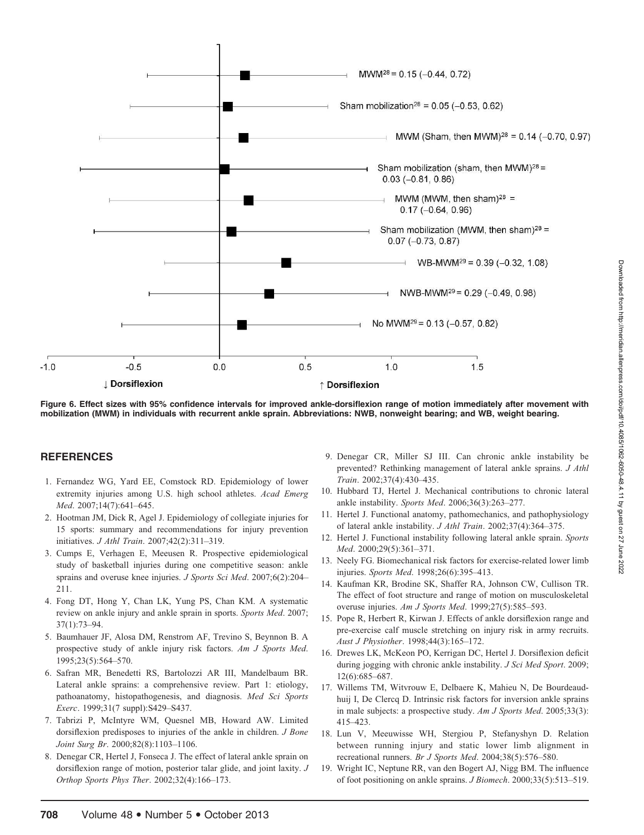

Figure 6. Effect sizes with 95% confidence intervals for improved ankle-dorsiflexion range of motion immediately after movement with mobilization (MWM) in individuals with recurrent ankle sprain. Abbreviations: NWB, nonweight bearing; and WB, weight bearing.

#### **REFERENCES**

- 1. Fernandez WG, Yard EE, Comstock RD. Epidemiology of lower extremity injuries among U.S. high school athletes. Acad Emerg Med. 2007;14(7):641–645.
- 2. Hootman JM, Dick R, Agel J. Epidemiology of collegiate injuries for 15 sports: summary and recommendations for injury prevention initiatives. J Athl Train. 2007;42(2):311–319.
- 3. Cumps E, Verhagen E, Meeusen R. Prospective epidemiological study of basketball injuries during one competitive season: ankle sprains and overuse knee injuries. J Sports Sci Med. 2007;6(2):204– 211.
- 4. Fong DT, Hong Y, Chan LK, Yung PS, Chan KM. A systematic review on ankle injury and ankle sprain in sports. Sports Med. 2007; 37(1):73–94.
- 5. Baumhauer JF, Alosa DM, Renstrom AF, Trevino S, Beynnon B. A prospective study of ankle injury risk factors. Am J Sports Med. 1995;23(5):564–570.
- 6. Safran MR, Benedetti RS, Bartolozzi AR III, Mandelbaum BR. Lateral ankle sprains: a comprehensive review. Part 1: etiology, pathoanatomy, histopathogenesis, and diagnosis. Med Sci Sports Exerc. 1999;31(7 suppl):S429–S437.
- 7. Tabrizi P, McIntyre WM, Quesnel MB, Howard AW. Limited dorsiflexion predisposes to injuries of the ankle in children. *J Bone* Joint Surg Br. 2000;82(8):1103–1106.
- 8. Denegar CR, Hertel J, Fonseca J. The effect of lateral ankle sprain on dorsiflexion range of motion, posterior talar glide, and joint laxity. J Orthop Sports Phys Ther. 2002;32(4):166–173.
- 9. Denegar CR, Miller SJ III. Can chronic ankle instability be prevented? Rethinking management of lateral ankle sprains. J Athl Train. 2002;37(4):430–435.
- 10. Hubbard TJ, Hertel J. Mechanical contributions to chronic lateral ankle instability. Sports Med. 2006;36(3):263–277.
- 11. Hertel J. Functional anatomy, pathomechanics, and pathophysiology of lateral ankle instability. J Athl Train. 2002;37(4):364–375.
- 12. Hertel J. Functional instability following lateral ankle sprain. Sports Med. 2000;29(5):361–371.
- 13. Neely FG. Biomechanical risk factors for exercise-related lower limb injuries. Sports Med. 1998;26(6):395–413.
- 14. Kaufman KR, Brodine SK, Shaffer RA, Johnson CW, Cullison TR. The effect of foot structure and range of motion on musculoskeletal overuse injuries. Am J Sports Med. 1999;27(5):585–593.
- 15. Pope R, Herbert R, Kirwan J. Effects of ankle dorsiflexion range and pre-exercise calf muscle stretching on injury risk in army recruits. Aust J Physiother. 1998;44(3):165–172.
- 16. Drewes LK, McKeon PO, Kerrigan DC, Hertel J. Dorsiflexion deficit during jogging with chronic ankle instability. *J Sci Med Sport*. 2009; 12(6):685–687.
- 17. Willems TM, Witvrouw E, Delbaere K, Mahieu N, De Bourdeaudhuij I, De Clercq D. Intrinsic risk factors for inversion ankle sprains in male subjects: a prospective study. Am J Sports Med. 2005;33(3): 415–423.
- 18. Lun V, Meeuwisse WH, Stergiou P, Stefanyshyn D. Relation between running injury and static lower limb alignment in recreational runners. Br J Sports Med. 2004;38(5):576–580.
- 19. Wright IC, Neptune RR, van den Bogert AJ, Nigg BM. The influence of foot positioning on ankle sprains. J Biomech. 2000;33(5):513–519.